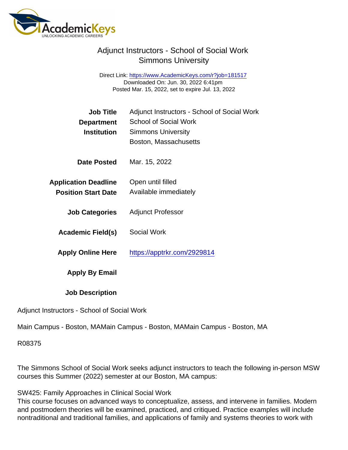Direct Link: <https://www.AcademicKeys.com/r?job=181517> Downloaded On: Jun. 30, 2022 6:41pm Posted Mar. 15, 2022, set to expire Jul. 13, 2022

| Adjunct Instructors - School of Social Work<br><b>School of Social Work</b><br><b>Simmons University</b><br>Boston, Massachusetts |
|-----------------------------------------------------------------------------------------------------------------------------------|
| Mar. 15, 2022                                                                                                                     |
| Open until filled<br>Available immediately                                                                                        |
| <b>Adjunct Professor</b>                                                                                                          |
| <b>Social Work</b>                                                                                                                |
| https://apptrkr.com/2929814                                                                                                       |
|                                                                                                                                   |
|                                                                                                                                   |
|                                                                                                                                   |

Adjunct Instructors - School of Social Work

Main Campus - Boston, MAMain Campus - Boston, MAMain Campus - Boston, MA

R08375

The Simmons School of Social Work seeks adjunct instructors to teach the following in-person MSW courses this Summer (2022) semester at our Boston, MA campus:

SW425: Family Approaches in Clinical Social Work

This course focuses on advanced ways to conceptualize, assess, and intervene in families. Modern and postmodern theories will be examined, practiced, and critiqued. Practice examples will include nontraditional and traditional families, and applications of family and systems theories to work with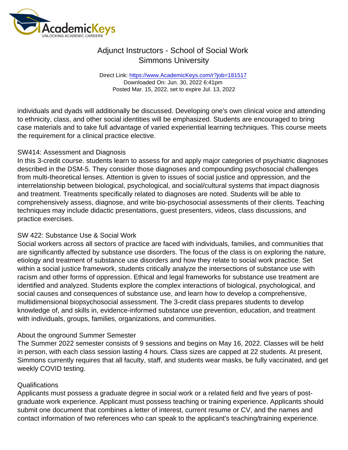Direct Link: <https://www.AcademicKeys.com/r?job=181517> Downloaded On: Jun. 30, 2022 6:41pm Posted Mar. 15, 2022, set to expire Jul. 13, 2022

individuals and dyads will additionally be discussed. Developing one's own clinical voice and attending to ethnicity, class, and other social identities will be emphasized. Students are encouraged to bring case materials and to take full advantage of varied experiential learning techniques. This course meets the requirement for a clinical practice elective.

#### SW414: Assessment and Diagnosis

In this 3-credit course. students learn to assess for and apply major categories of psychiatric diagnoses described in the DSM-5. They consider those diagnoses and compounding psychosocial challenges from multi-theoretical lenses. Attention is given to issues of social justice and oppression, and the interrelationship between biological, psychological, and social/cultural systems that impact diagnosis and treatment. Treatments specifically related to diagnoses are noted. Students will be able to comprehensively assess, diagnose, and write bio-psychosocial assessments of their clients. Teaching techniques may include didactic presentations, guest presenters, videos, class discussions, and practice exercises.

### SW 422: Substance Use & Social Work

Social workers across all sectors of practice are faced with individuals, families, and communities that are significantly affected by substance use disorders. The focus of the class is on exploring the nature, etiology and treatment of substance use disorders and how they relate to social work practice. Set within a social justice framework, students critically analyze the intersections of substance use with racism and other forms of oppression. Ethical and legal frameworks for substance use treatment are identified and analyzed. Students explore the complex interactions of biological, psychological, and social causes and consequences of substance use, and learn how to develop a comprehensive, multidimensional biopsychosocial assessment. The 3-credit class prepares students to develop knowledge of, and skills in, evidence-informed substance use prevention, education, and treatment with individuals, groups, families, organizations, and communities.

### About the onground Summer Semester

The Summer 2022 semester consists of 9 sessions and begins on May 16, 2022. Classes will be held in person, with each class session lasting 4 hours. Class sizes are capped at 22 students. At present, Simmons currently requires that all faculty, staff, and students wear masks, be fully vaccinated, and get weekly COVID testing.

#### Qualifications

Applicants must possess a graduate degree in social work or a related field and five years of postgraduate work experience. Applicant must possess teaching or training experience. Applicants should submit one document that combines a letter of interest, current resume or CV, and the names and contact information of two references who can speak to the applicant's teaching/training experience.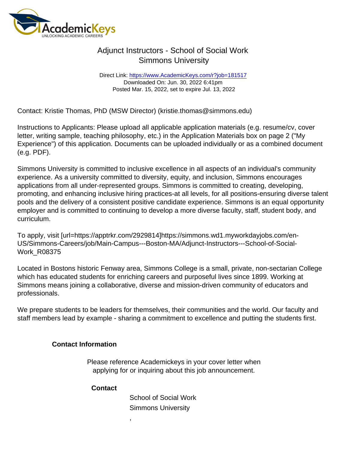Direct Link: <https://www.AcademicKeys.com/r?job=181517> Downloaded On: Jun. 30, 2022 6:41pm Posted Mar. 15, 2022, set to expire Jul. 13, 2022

Contact: Kristie Thomas, PhD (MSW Director) (kristie.thomas@simmons.edu)

Instructions to Applicants: Please upload all applicable application materials (e.g. resume/cv, cover letter, writing sample, teaching philosophy, etc.) in the Application Materials box on page 2 ("My Experience") of this application. Documents can be uploaded individually or as a combined document (e.g. PDF).

Simmons University is committed to inclusive excellence in all aspects of an individual's community experience. As a university committed to diversity, equity, and inclusion, Simmons encourages applications from all under-represented groups. Simmons is committed to creating, developing, promoting, and enhancing inclusive hiring practices-at all levels, for all positions-ensuring diverse talent pools and the delivery of a consistent positive candidate experience. Simmons is an equal opportunity employer and is committed to continuing to develop a more diverse faculty, staff, student body, and curriculum.

To apply, visit [url=https://apptrkr.com/2929814]https://simmons.wd1.myworkdayjobs.com/en-US/Simmons-Careers/job/Main-Campus---Boston-MA/Adjunct-Instructors---School-of-Social-Work\_R08375

Located in Bostons historic Fenway area, Simmons College is a small, private, non-sectarian College which has educated students for enriching careers and purposeful lives since 1899. Working at Simmons means joining a collaborative, diverse and mission-driven community of educators and professionals.

We prepare students to be leaders for themselves, their communities and the world. Our faculty and staff members lead by example - sharing a commitment to excellence and putting the students first.

Contact Information

Please reference Academickeys in your cover letter when applying for or inquiring about this job announcement.

**Contact** 

,

School of Social Work Simmons University